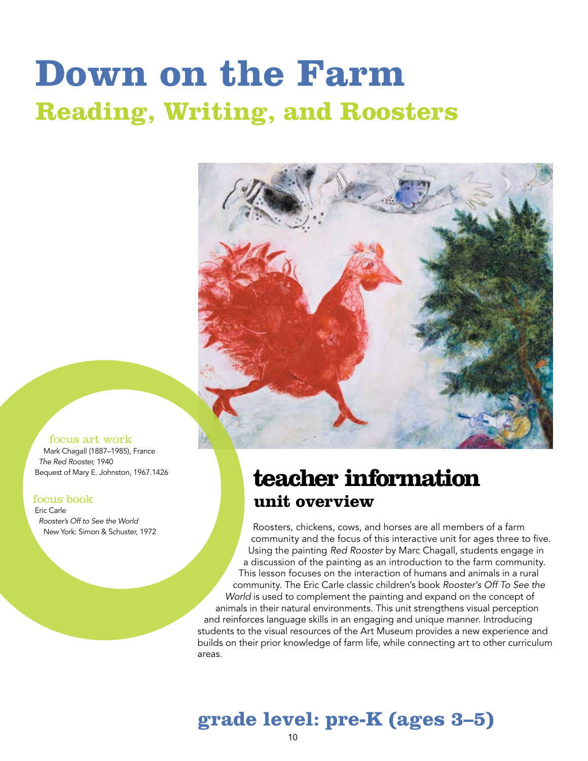# **Down on the Farm Reading, Writing, and Roosters**



#### focus art work

Mark Chagall (1887–1985), France *The Red Rooster,* 1940 Bequest of Mary E. Johnston, 1967.1426

#### focus book

Eric Carle *Rooster's Off to See the World* New York: Simon & Schuster, 1972

### **teacher information unit overview**

Roosters, chickens, cows, and horses are all members of a farm community and the focus of this interactive unit for ages three to five. Using the painting *Red Rooster* by Marc Chagall, students engage in a discussion of the painting as an introduction to the farm community. This lesson focuses on the interaction of humans and animals in a rural community. The Eric Carle classic children's book *Rooster's Off To See the World* is used to complement the painting and expand on the concept of animals in their natural environments. This unit strengthens visual perception and reinforces language skills in an engaging and unique manner. Introducing students to the visual resources of the Art Museum provides a new experience and builds on their prior knowledge of farm life, while connecting art to other curriculum areas.

### **grade level: pre-K (ages 3–5)**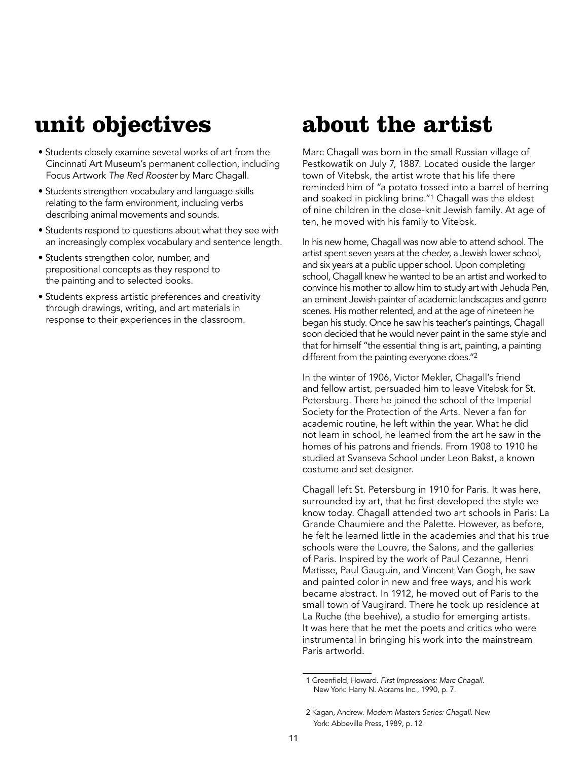### **unit objectives**

- Students closely examine several works of art from the Cincinnati Art Museum's permanent collection, including Focus Artwork *The Red Rooster* by Marc Chagall.
- Students strengthen vocabulary and language skills relating to the farm environment, including verbs describing animal movements and sounds.
- Students respond to questions about what they see with an increasingly complex vocabulary and sentence length.
- Students strengthen color, number, and prepositional concepts as they respond to the painting and to selected books.
- Students express artistic preferences and creativity through drawings, writing, and art materials in response to their experiences in the classroom.

### **about the artist**

Marc Chagall was born in the small Russian village of Pestkowatik on July 7, 1887. Located ouside the larger town of Vitebsk, the artist wrote that his life there reminded him of "a potato tossed into a barrel of herring and soaked in pickling brine."1 Chagall was the eldest of nine children in the close-knit Jewish family. At age of ten, he moved with his family to Vitebsk.

In his new home, Chagall was now able to attend school. The artist spent seven years at the *cheder,* a Jewish lower school, and six years at a public upper school. Upon completing school, Chagall knew he wanted to be an artist and worked to convince his mother to allow him to study art with Jehuda Pen, an eminent Jewish painter of academic landscapes and genre scenes. His mother relented, and at the age of nineteen he began his study. Once he saw his teacher's paintings, Chagall soon decided that he would never paint in the same style and that for himself "the essential thing is art, painting, a painting different from the painting everyone does."2

In the winter of 1906, Victor Mekler, Chagall's friend and fellow artist, persuaded him to leave Vitebsk for St. Petersburg. There he joined the school of the Imperial Society for the Protection of the Arts. Never a fan for academic routine, he left within the year. What he did not learn in school, he learned from the art he saw in the homes of his patrons and friends. From 1908 to 1910 he studied at Svanseva School under Leon Bakst, a known costume and set designer.

Chagall left St. Petersburg in 1910 for Paris. It was here, surrounded by art, that he first developed the style we know today. Chagall attended two art schools in Paris: La Grande Chaumiere and the Palette. However, as before, he felt he learned little in the academies and that his true schools were the Louvre, the Salons, and the galleries of Paris. Inspired by the work of Paul Cezanne, Henri Matisse, Paul Gauguin, and Vincent Van Gogh, he saw and painted color in new and free ways, and his work became abstract. In 1912, he moved out of Paris to the small town of Vaugirard. There he took up residence at La Ruche (the beehive), a studio for emerging artists. It was here that he met the poets and critics who were instrumental in bringing his work into the mainstream Paris artworld.

<sup>1</sup> Greenfield, Howard. *First Impressions: Marc Chagall*. New York: Harry N. Abrams Inc., 1990, p. 7.

<sup>2</sup> Kagan, Andrew. *Modern Masters Series: Chagall*. New York: Abbeville Press, 1989, p. 12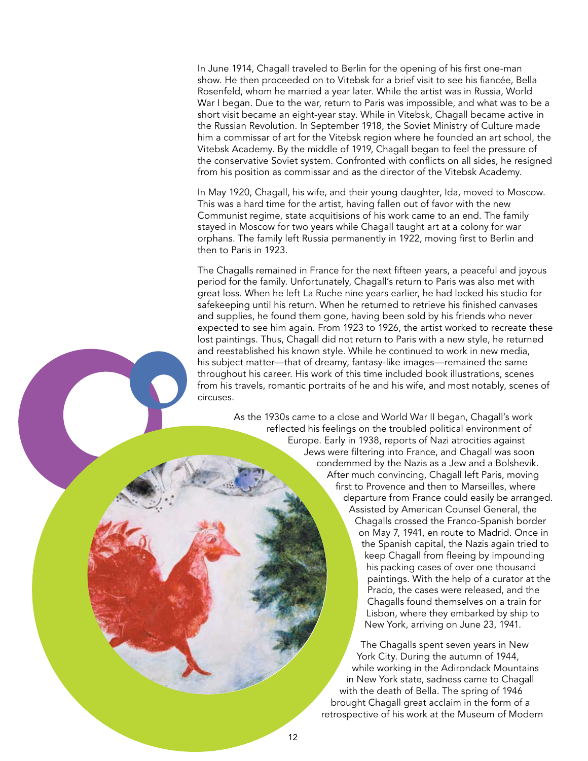In June 1914, Chagall traveled to Berlin for the opening of his first one-man show. He then proceeded on to Vitebsk for a brief visit to see his fiancée, Bella Rosenfeld, whom he married a year later. While the artist was in Russia, World War I began. Due to the war, return to Paris was impossible, and what was to be a short visit became an eight-year stay. While in Vitebsk, Chagall became active in the Russian Revolution. In September 1918, the Soviet Ministry of Culture made him a commissar of art for the Vitebsk region where he founded an art school, the Vitebsk Academy. By the middle of 1919, Chagall began to feel the pressure of the conservative Soviet system. Confronted with conflicts on all sides, he resigned from his position as commissar and as the director of the Vitebsk Academy.

In May 1920, Chagall, his wife, and their young daughter, Ida, moved to Moscow. This was a hard time for the artist, having fallen out of favor with the new Communist regime, state acquitisions of his work came to an end. The family stayed in Moscow for two years while Chagall taught art at a colony for war orphans. The family left Russia permanently in 1922, moving first to Berlin and then to Paris in 1923.

The Chagalls remained in France for the next fifteen years, a peaceful and joyous period for the family. Unfortunately, Chagall's return to Paris was also met with great loss. When he left La Ruche nine years earlier, he had locked his studio for safekeeping until his return. When he returned to retrieve his finished canvases and supplies, he found them gone, having been sold by his friends who never expected to see him again. From 1923 to 1926, the artist worked to recreate these lost paintings. Thus, Chagall did not return to Paris with a new style, he returned and reestablished his known style. While he continued to work in new media, his subject matter—that of dreamy, fantasy-like images—remained the same throughout his career. His work of this time included book illustrations, scenes from his travels, romantic portraits of he and his wife, and most notably, scenes of circuses.

> As the 1930s came to a close and World War II began, Chagall's work reflected his feelings on the troubled political environment of Europe. Early in 1938, reports of Nazi atrocities against Jews were filtering into France, and Chagall was soon condemmed by the Nazis as a Jew and a Bolshevik. After much convincing, Chagall left Paris, moving first to Provence and then to Marseilles, where departure from France could easily be arranged. Assisted by American Counsel General, the Chagalls crossed the Franco-Spanish border on May 7, 1941, en route to Madrid. Once in the Spanish capital, the Nazis again tried to keep Chagall from fleeing by impounding his packing cases of over one thousand paintings. With the help of a curator at the Prado, the cases were released, and the Chagalls found themselves on a train for Lisbon, where they embarked by ship to New York, arriving on June 23, 1941.

> > The Chagalls spent seven years in New York City. During the autumn of 1944, while working in the Adirondack Mountains in New York state, sadness came to Chagall with the death of Bella. The spring of 1946 brought Chagall great acclaim in the form of a retrospective of his work at the Museum of Modern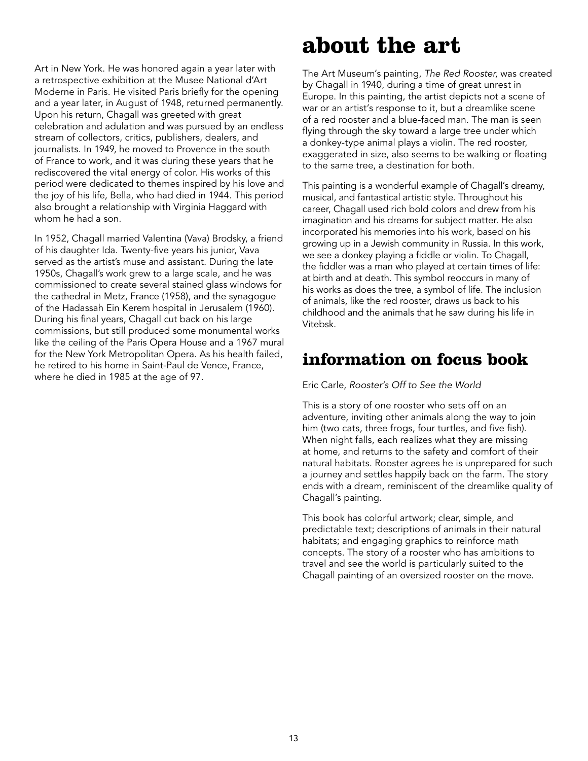Art in New York. He was honored again a year later with a retrospective exhibition at the Musee National d'Art Moderne in Paris. He visited Paris briefly for the opening and a year later, in August of 1948, returned permanently. Upon his return, Chagall was greeted with great celebration and adulation and was pursued by an endless stream of collectors, critics, publishers, dealers, and journalists. In 1949, he moved to Provence in the south of France to work, and it was during these years that he rediscovered the vital energy of color. His works of this period were dedicated to themes inspired by his love and the joy of his life, Bella, who had died in 1944. This period also brought a relationship with Virginia Haggard with whom he had a son.

In 1952, Chagall married Valentina (Vava) Brodsky, a friend of his daughter Ida. Twenty-five years his junior, Vava served as the artist's muse and assistant. During the late 1950s, Chagall's work grew to a large scale, and he was commissioned to create several stained glass windows for the cathedral in Metz, France (1958), and the synagogue of the Hadassah Ein Kerem hospital in Jerusalem (1960). During his final years, Chagall cut back on his large commissions, but still produced some monumental works like the ceiling of the Paris Opera House and a 1967 mural for the New York Metropolitan Opera. As his health failed, he retired to his home in Saint-Paul de Vence, France, where he died in 1985 at the age of 97.

### **about the art**

The Art Museum's painting, *The Red Rooster,* was created by Chagall in 1940, during a time of great unrest in Europe. In this painting, the artist depicts not a scene of war or an artist's response to it, but a dreamlike scene of a red rooster and a blue-faced man. The man is seen flying through the sky toward a large tree under which a donkey-type animal plays a violin. The red rooster, exaggerated in size, also seems to be walking or floating to the same tree, a destination for both.

This painting is a wonderful example of Chagall's dreamy, musical, and fantastical artistic style. Throughout his career, Chagall used rich bold colors and drew from his imagination and his dreams for subject matter. He also incorporated his memories into his work, based on his growing up in a Jewish community in Russia. In this work, we see a donkey playing a fiddle or violin. To Chagall, the fiddler was a man who played at certain times of life: at birth and at death. This symbol reoccurs in many of his works as does the tree, a symbol of life. The inclusion of animals, like the red rooster, draws us back to his childhood and the animals that he saw during his life in Vitebsk.

### **information on focus book**

#### Eric Carle, *Rooster's Off to See the World*

This is a story of one rooster who sets off on an adventure, inviting other animals along the way to join him (two cats, three frogs, four turtles, and five fish). When night falls, each realizes what they are missing at home, and returns to the safety and comfort of their natural habitats. Rooster agrees he is unprepared for such a journey and settles happily back on the farm. The story ends with a dream, reminiscent of the dreamlike quality of Chagall's painting.

This book has colorful artwork; clear, simple, and predictable text; descriptions of animals in their natural habitats; and engaging graphics to reinforce math concepts. The story of a rooster who has ambitions to travel and see the world is particularly suited to the Chagall painting of an oversized rooster on the move.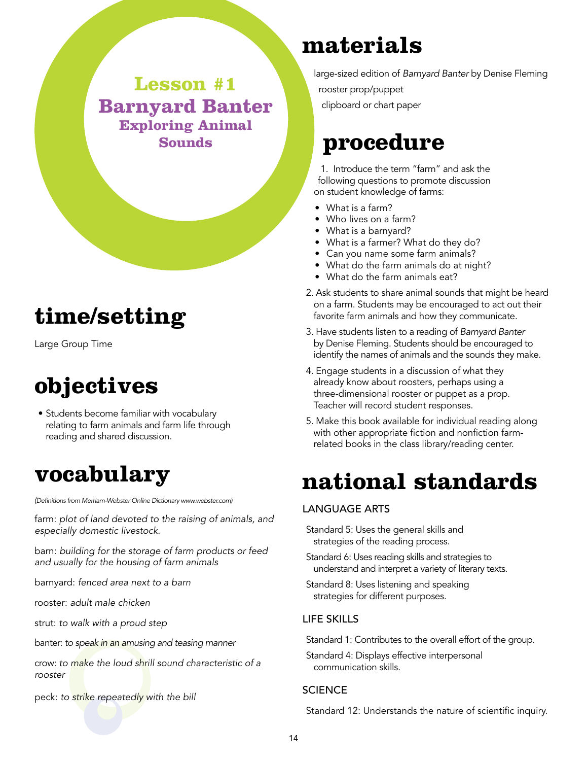### **Lesson #1 Barnyard Banter Exploring Animal Sounds**

# **time/setting**

Large Group Time

### **objectives**

• Students become familiar with vocabulary relating to farm animals and farm life through reading and shared discussion.

### **vocabulary**

*(Definitions from Merriam-Webster Online Dictionary www.webster.com)*

farm: *plot of land devoted to the raising of animals, and especially domestic livestock.*

barn: *building for the storage of farm products or feed and usually for the housing of farm animals*

barnyard: *fenced area next to a barn*

rooster: *adult male chicken*

strut: *to walk with a proud step*

banter: *to speak in an amusing and teasing manner*

crow: *to make the loud shrill sound characteristic of a rooster*

peck: *to strike repeatedly with the bill*

### **materials**

large-sized edition of *Barnyard Banter* by Denise Fleming

rooster prop/puppet

clipboard or chart paper

### **procedure**

1. Introduce the term "farm" and ask the following questions to promote discussion on student knowledge of farms:

- What is a farm?
- Who lives on a farm?
- What is a barnyard?
- What is a farmer? What do they do?
- Can you name some farm animals?
- What do the farm animals do at night?
- What do the farm animals eat?
- 2. Ask students to share animal sounds that might be heard on a farm. Students may be encouraged to act out their favorite farm animals and how they communicate.
- 3. Have students listen to a reading of *Barnyard Banter* by Denise Fleming. Students should be encouraged to identify the names of animals and the sounds they make.
- 4. Engage students in a discussion of what they already know about roosters, perhaps using a three-dimensional rooster or puppet as a prop. Teacher will record student responses.
- 5. Make this book available for individual reading along with other appropriate fiction and nonfiction farmrelated books in the class library/reading center.

### **national standards**

#### Language Arts

Standard 5: Uses the general skills and strategies of the reading process.

- Standard 6: Uses reading skills and strategies to understand and interpret a variety of literary texts.
- Standard 8: Uses listening and speaking strategies for different purposes.

#### Life Skills

Standard 1: Contributes to the overall effort of the group.

Standard 4: Displays effective interpersonal communication skills.

#### **SCIENCE**

Standard 12: Understands the nature of scientific inquiry.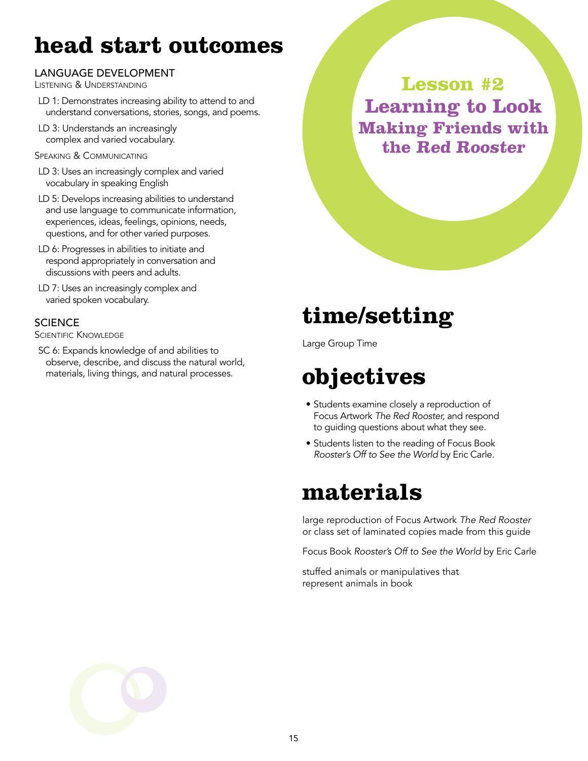### **head start outcomes**

#### Language Development

Listening & Understanding

- LD 1: Demonstrates increasing ability to attend to and understand conversations, stories, songs, and poems.
- LD 3: Understands an increasingly complex and varied vocabulary.
- Speaking & Communicating
- LD 3: Uses an increasingly complex and varied vocabulary in speaking English
- LD 5: Develops increasing abilities to understand and use language to communicate information, experiences, ideas, feelings, opinions, needs, questions, and for other varied purposes.
- LD 6: Progresses in abilities to initiate and respond appropriately in conversation and discussions with peers and adults.
- LD 7: Uses an increasingly complex and varied spoken vocabulary.

#### **SCIENCE**

SCIENTIFIC KNOWLEDGE

SC 6: Expands knowledge of and abilities to observe, describe, and discuss the natural world, materials, living things, and natural processes.

**Lesson #2 Learning to Look Making Friends with the Red Rooster**

# **time/setting**

Large Group Time

# **objectives**

- Students examine closely a reproduction of Focus Artwork *The Red Rooster,* and respond to guiding questions about what they see.
- Students listen to the reading of Focus Book *Rooster's Off to See the World* by Eric Carle.

### **materials**

large reproduction of Focus Artwork *The Red Rooster* or class set of laminated copies made from this guide

Focus Book *Rooster's Off to See the World* by Eric Carle

stuffed animals or manipulatives that represent animals in book

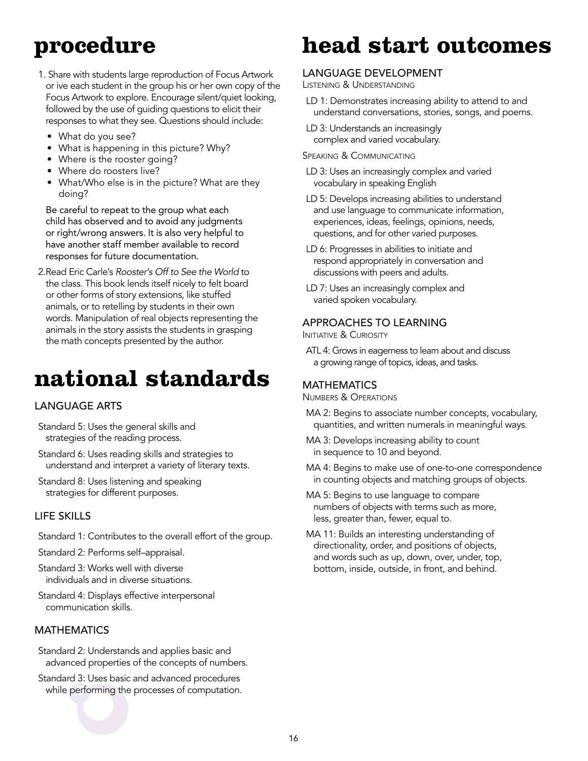### **procedure**

- 1. Share with students large reproduction of Focus Artwork or ive each student in the group his or her own copy of the Focus Artwork to explore. Encourage silent/quiet looking, followed by the use of guiding questions to elicit their responses to what they see. Questions should include:
	- What do you see?
	- What is happening in this picture? Why?
	- Where is the rooster going?
	- Where do roosters live?
	- What/Who else is in the picture? What are they doing?

 Be careful to repeat to the group what each child has observed and to avoid any judgments or right/wrong answers. It is also very helpful to have another staff member available to record responses for future documentation.

2.Read Eric Carle's *Rooster's Off to See the World* to the class. This book lends itself nicely to felt board or other forms of story extensions, like stuffed animals, or to retelling by students in their own words. Manipulation of real objects representing the animals in the story assists the students in grasping the math concepts presented by the author.

# **national standards**

#### Language Arts

- Standard 5: Uses the general skills and strategies of the reading process.
- Standard 6: Uses reading skills and strategies to understand and interpret a variety of literary texts.
- Standard 8: Uses listening and speaking strategies for different purposes.

#### Life Skills

- Standard 1: Contributes to the overall effort of the group.
- Standard 2: Performs self–appraisal.
- Standard 3: Works well with diverse individuals and in diverse situations.
- Standard 4: Displays effective interpersonal communication skills.

#### **MATHEMATICS**

- Standard 2: Understands and applies basic and advanced properties of the concepts of numbers.
- Standard 3: Uses basic and advanced procedures while performing the processes of computation.

### **head start outcomes**

#### Language Development

Listening & Understanding

- LD 1: Demonstrates increasing ability to attend to and understand conversations, stories, songs, and poems.
- LD 3: Understands an increasingly complex and varied vocabulary.
- Speaking & Communicating
- LD 3: Uses an increasingly complex and varied vocabulary in speaking English
- LD 5: Develops increasing abilities to understand and use language to communicate information, experiences, ideas, feelings, opinions, needs, questions, and for other varied purposes.
- LD 6: Progresses in abilities to initiate and respond appropriately in conversation and discussions with peers and adults.
- LD 7: Uses an increasingly complex and varied spoken vocabulary.

#### Approaches to Learning

**INITIATIVE & CURIOSITY** 

ATL 4: Grows in eagerness to learn about and discuss a growing range of topics, ideas, and tasks.

#### **MATHEMATICS**

Numbers & Operations

- MA 2: Begins to associate number concepts, vocabulary, quantities, and written numerals in meaningful ways.
- MA 3: Develops increasing ability to count in sequence to 10 and beyond.
- MA 4: Begins to make use of one-to-one correspondence in counting objects and matching groups of objects.
- MA 5: Begins to use language to compare numbers of objects with terms such as more, less, greater than, fewer, equal to.
- MA 11: Builds an interesting understanding of directionality, order, and positions of objects, and words such as up, down, over, under, top, bottom, inside, outside, in front, and behind.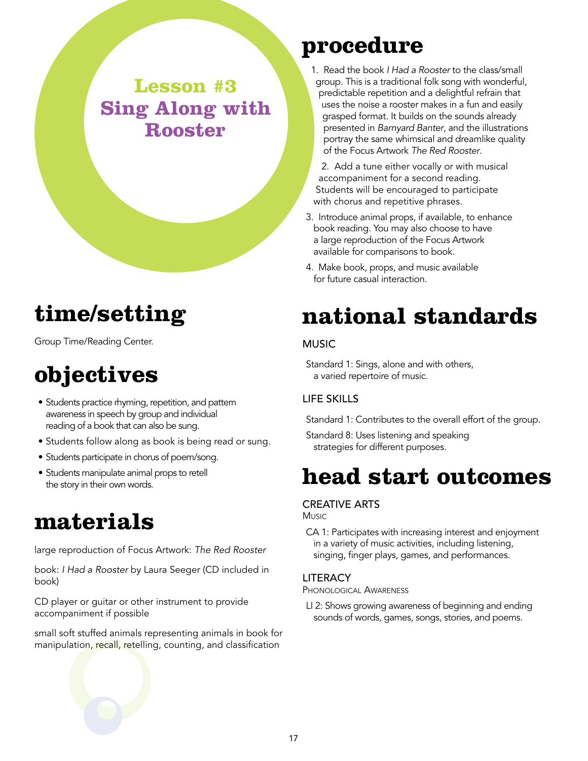**Lesson #3 Sing Along with Rooster**

### **time/setting**

Group Time/Reading Center.

# **objectives**

- Students practice rhyming, repetition, and pattern awareness in speech by group and individual reading of a book that can also be sung.
- Students follow along as book is being read or sung.
- Students participate in chorus of poem/song.
- Students manipulate animal props to retell the story in their own words.

### **materials**

large reproduction of Focus Artwork: *The Red Rooster*

book: *I Had a Rooster* by Laura Seeger (CD included in book)

CD player or guitar or other instrument to provide accompaniment if possible

small soft stuffed animals representing animals in book for manipulation, recall, retelling, counting, and classification

### **procedure**

1. Read the book *I Had a Rooster* to the class/small group. This is a traditional folk song with wonderful, predictable repetition and a delightful refrain that uses the noise a rooster makes in a fun and easily grasped format. It builds on the sounds already presented in *Barnyard Banter*, and the illustrations portray the same whimsical and dreamlike quality of the Focus Artwork *The Red Rooster*.

2. Add a tune either vocally or with musical accompaniment for a second reading. Students will be encouraged to participate with chorus and repetitive phrases.

- 3. Introduce animal props, if available, to enhance book reading. You may also choose to have a large reproduction of the Focus Artwork available for comparisons to book.
- 4. Make book, props, and music available for future casual interaction.

### **national standards**

#### **MUSIC**

Standard 1: Sings, alone and with others, a varied repertoire of music.

#### Life Skills

Standard 1: Contributes to the overall effort of the group.

Standard 8: Uses listening and speaking strategies for different purposes.

### **head start outcomes**

#### Creative Arts

Music.

CA 1: Participates with increasing interest and enjoyment in a variety of music activities, including listening, singing, finger plays, games, and performances.

#### **LITERACY**

Phonological Awareness

LI 2: Shows growing awareness of beginning and ending sounds of words, games, songs, stories, and poems.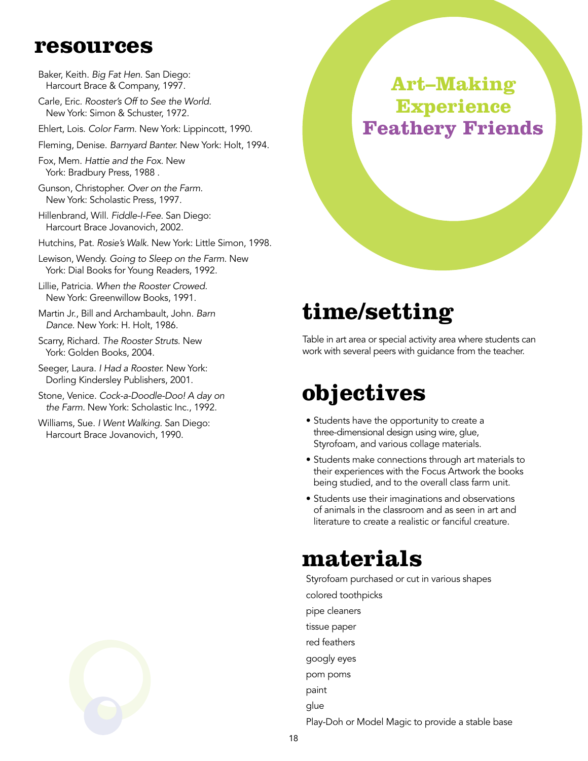### **resources**

- Baker, Keith. *Big Fat Hen*. San Diego: Harcourt Brace & Company, 1997.
- Carle, Eric. *Rooster's Off to See the World.* New York: Simon & Schuster, 1972.
- Ehlert, Lois. *Color Farm*. New York: Lippincott, 1990.
- Fleming, Denise. *Barnyard Banter.* New York: Holt, 1994.
- Fox, Mem. *Hattie and the Fox*. New York: Bradbury Press, 1988 .
- Gunson, Christopher. *Over on the Farm.* New York: Scholastic Press, 1997.
- Hillenbrand, Will. *Fiddle-I-Fee.* San Diego: Harcourt Brace Jovanovich, 2002.
- Hutchins, Pat. *Rosie's Walk.* New York: Little Simon, 1998.
- Lewison, Wendy. *Going to Sleep on the Farm*. New York: Dial Books for Young Readers, 1992.
- Lillie, Patricia. *When the Rooster Crowed.* New York: Greenwillow Books, 1991.
- Martin Jr., Bill and Archambault, John. *Barn Dance.* New York: H. Holt, 1986.
- Scarry, Richard. *The Rooster Struts*. New York: Golden Books, 2004.
- Seeger, Laura. *I Had a Rooster.* New York: Dorling Kindersley Publishers, 2001.
- Stone, Venice. *Cock-a-Doodle-Doo! A day on the Farm.* New York: Scholastic Inc., 1992.
- Williams, Sue. *I Went Walking.* San Diego: Harcourt Brace Jovanovich, 1990.

### **Art–Making Experience Feathery Friends**

### **time/setting**

Table in art area or special activity area where students can work with several peers with guidance from the teacher.

### **objectives**

- Students have the opportunity to create a three-dimensional design using wire, glue, Styrofoam, and various collage materials.
- Students make connections through art materials to their experiences with the Focus Artwork the books being studied, and to the overall class farm unit.
- Students use their imaginations and observations of animals in the classroom and as seen in art and literature to create a realistic or fanciful creature.

### **materials**

Styrofoam purchased or cut in various shapes colored toothpicks pipe cleaners tissue paper red feathers googly eyes pom poms paint glue Play-Doh or Model Magic to provide a stable base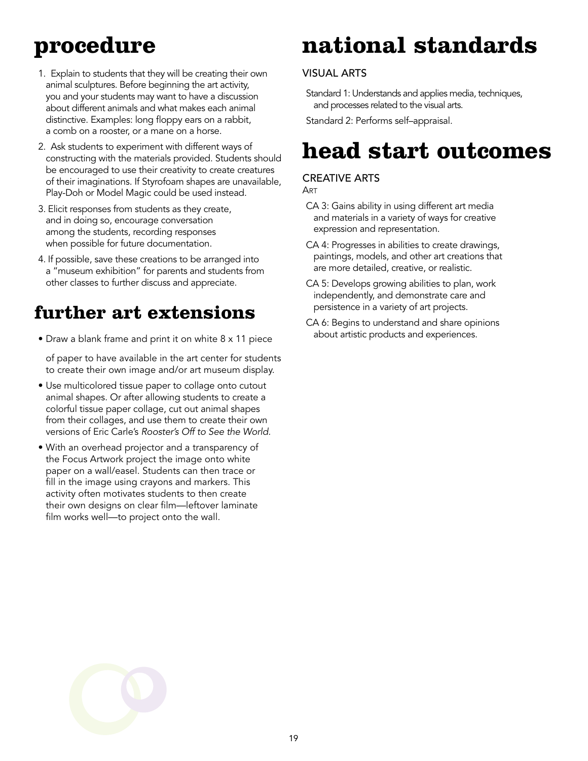# **procedure**

- 1. Explain to students that they will be creating their own animal sculptures. Before beginning the art activity, you and your students may want to have a discussion about different animals and what makes each animal distinctive. Examples: long floppy ears on a rabbit, a comb on a rooster, or a mane on a horse.
- 2. Ask students to experiment with different ways of constructing with the materials provided. Students should be encouraged to use their creativity to create creatures of their imaginations. If Styrofoam shapes are unavailable, Play-Doh or Model Magic could be used instead.
- 3. Elicit responses from students as they create, and in doing so, encourage conversation among the students, recording responses when possible for future documentation.
- 4. If possible, save these creations to be arranged into a "museum exhibition" for parents and students from other classes to further discuss and appreciate.

### **further art extensions**

• Draw a blank frame and print it on white 8 x 11 piece

of paper to have available in the art center for students to create their own image and/or art museum display.

- Use multicolored tissue paper to collage onto cutout animal shapes. Or after allowing students to create a colorful tissue paper collage, cut out animal shapes from their collages, and use them to create their own versions of Eric Carle's *Rooster's Off to See the World.*
- With an overhead projector and a transparency of the Focus Artwork project the image onto white paper on a wall/easel. Students can then trace or fill in the image using crayons and markers. This activity often motivates students to then create their own designs on clear film—leftover laminate film works well—to project onto the wall.

# **national standards**

#### Visual Arts

Standard 1: Understands and applies media, techniques, and processes related to the visual arts.

Standard 2: Performs self–appraisal.

### **head start outcomes**

#### Creative Arts

**ART** 

- CA 3: Gains ability in using different art media and materials in a variety of ways for creative expression and representation.
- CA 4: Progresses in abilities to create drawings, paintings, models, and other art creations that are more detailed, creative, or realistic.
- CA 5: Develops growing abilities to plan, work independently, and demonstrate care and persistence in a variety of art projects.
- CA 6: Begins to understand and share opinions about artistic products and experiences.

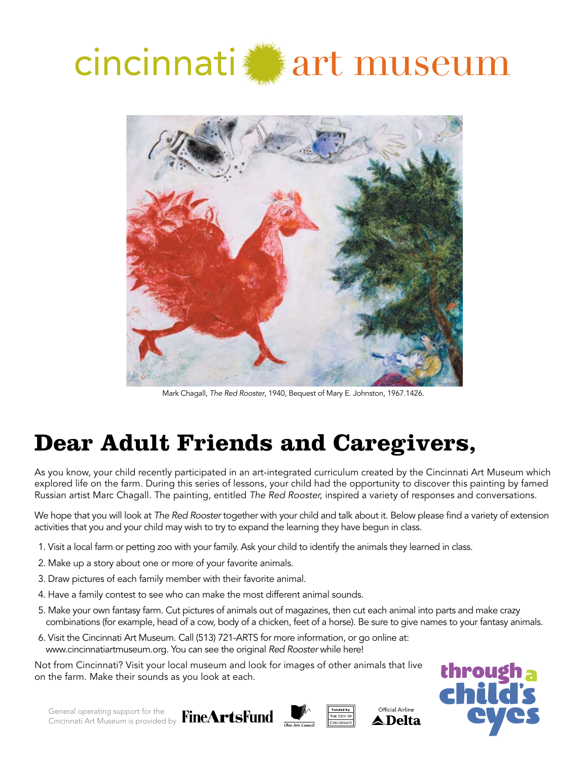# cincinnati art museum



Mark Chagall, *The Red Rooster*, 1940, Bequest of Mary E. Johnston, 1967.1426.

# **Dear Adult Friends and Caregivers,**

As you know, your child recently participated in an art-integrated curriculum created by the Cincinnati Art Museum which explored life on the farm. During this series of lessons, your child had the opportunity to discover this painting by famed Russian artist Marc Chagall. The painting, entitled *The Red Rooster,* inspired a variety of responses and conversations.

We hope that you will look at *The Red Rooster* together with your child and talk about it. Below please find a variety of extension activities that you and your child may wish to try to expand the learning they have begun in class.

- 1. Visit a local farm or petting zoo with your family. Ask your child to identify the animals they learned in class.
- 2. Make up a story about one or more of your favorite animals.
- 3. Draw pictures of each family member with their favorite animal.
- 4. Have a family contest to see who can make the most different animal sounds.
- 5. Make your own fantasy farm. Cut pictures of animals out of magazines, then cut each animal into parts and make crazy combinations (for example, head of a cow, body of a chicken, feet of a horse). Be sure to give names to your fantasy animals.
- 6. Visit the Cincinnati Art Museum. Call (513) 721-ARTS for more information, or go online at: www.cincinnatiartmuseum.org. You can see the original *Red Rooster* while here!

Not from Cincinnati? Visit your local museum and look for images of other animals that live on the farm. Make their sounds as you look at each.







Official Airline ▲ Delta